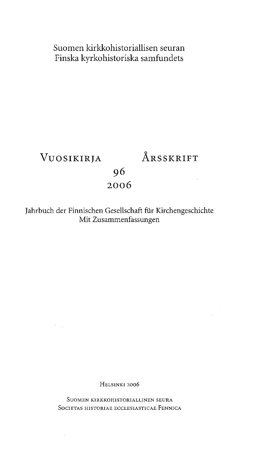## Suomen kirkkohistoriallisen seuran Finska kyrkohistoriska samfundets

# VUOSIKIRJA ÄRSSKRIFT

## *96* 2006

Jahrbuch der Finnischen Gesellschaft für Kirchengeschichte Mit Zusammenfassungen

#### Helsinki 2006

Suomen kirkkohistoriallinen seura Societas historiae ecclesiasticae Fennica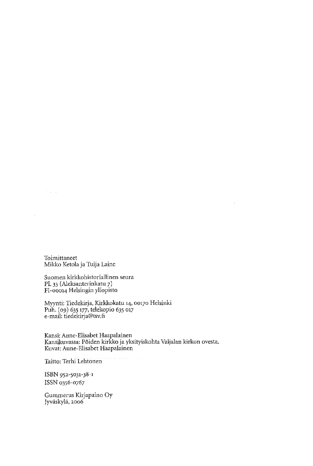Toimittaneet Mikko Ketola ja Tuija Laine

Suomen kirkkohistoriallinen seura PL 33 (Aleksanterinkatu 7) FI-00014 Helsingin yliopisto

Myynti: Tiedekirja, Kirkkokatu 14, 00170 Helsinki Puh. (09) 635 177, telekopio 635 017 e-mail: [tiedeldrja@tsv.fi](mailto:tiedeldrja@tsv.fi)

Kansi: Aune-Elisabet Haapalainen Kansikuvassa: Põiden kirkko ja yksityiskohta Valjalan kirkon ovesta. Kuvat: Aune-Elisabet Haapalainen

Taitto: Terhi Lehtonen

ISBN 952-5031-38-1 ISSN 0356-0767

Gummerus Kirjapaino Oy Jyväskylä, 2006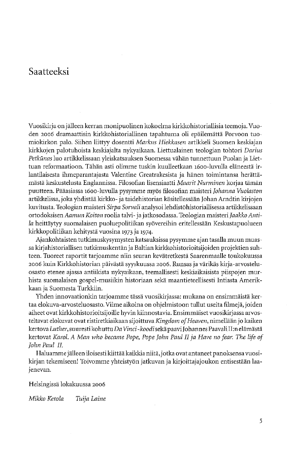## Saatteeksi

Vuosikirja on jälleen kerran monipuolinen kokoelma kirkkohistoriallisia teemoja. Vuoden 2006 dramaattisin kirkkohistoriallinen tapahtuma oli epäilemättä Porvoon tuomiokirkon palo. Siihen liittyy dosentti *Markus Hiekkasen* artikkeli Suomen keskiajan kirkkojen palotuhoista keskiajalta nykyaikaan. Liettualainen teologian tohtori *Darius Petkünas*luo artikkelissaan yleiskatsauksen Suomessa vähän tunnettuun Puolan ja Liettuan reformaatioon. Tähän asti olimme tuskin kuulleetkaan 1600-luvulla eläneestä irlantilaisesta ihmeparantajasta Valentine Greatrakesista ja hänen toimintansa herättämästä keskustelusta Englannissa. Filosofian lisensiaatti *Maarit Nurminen* korjaa tämän puutteen. Pääasiassa 1600-luvulla pysymme myös filosofian maisteri *Johanna Vuolaston* artikkelissa, joka yhdistää kirkko- ja taidehistorian käsitellessään Johan Arndtin kirjojen kuvitusta. Teologian maisteri *Sirpa Sorvali* analysoi lehdistöhistoriallisessa artikkelissaan ortodoksisen*AamunKoiton* roolia talvi- ja jatkosodassa. Teologian maisteri *Jaakko Antila* heittäytyy suomalaisen puoluepolitiikan syövereihin eritellessään Keskustapuolueen kirkkopolitiikan kehitystä vuosina 1973 ja 1974.

Ajankohtaisten tutkimuskysymysten katsauksissa pysymme ajan tasalla muun muassa kirjahistoriallisen tutkimuskentän ja Baltian kirkkohistorioitsijoiden projektien suhteen. Tuoreet raportit tarjoamme niin seuran kevätretkestä Saarenmaalle toukokuussa 2006 kuin Kirkkohistorian päivästä syyskuussa 2006. Runsasja värikäs kirja-arvosteluosasto etenee ajassa antiikista nykyaikaan, teemallisesti keskiaikaisista piispojen murhista suomalaisen gospel-musiikin historiaan sekä maantieteellisesti Intiasta Amerikkaan ja Suomesta Turkkiin.

Yhden innovaationkin tarjoamme tässä vuosikirjassa: mukana on ensimmäistä kertaa elokuva-arvosteluosasto.Viime aikoina on ohjelmistoon tullut useita filmejä, joiden aiheet ovat kirkkohistorioitsijoille hyvin kiinnostavia. Ensimmäiset vuosikirjassa arvosteltavat elokuvat ovat ristiretkiaikaan sijoittuva*Kingdom ofHeaven,* nimellään jo kaiken kertova*Luther,*suurestikohuttu*DaVinci*-fcoodisekäpaaviJohannes Paavalillmelämästä kertovat *Karol. A Man who became Pope, Pope John Paul IIja Have no fear. The life of John Paul II.*

Haluamme jälleen iloisesti kiittää kaikkia niitä, jotka ovat antaneet panoksensa vuosikirjan tekemiseen! Toivomme yhteistyön jatkuvan ja kirjoittajajoukon entisestään laajenevan.

Helsingissä lokakuussa 2006

*Mikko Ketola Tuija Laine*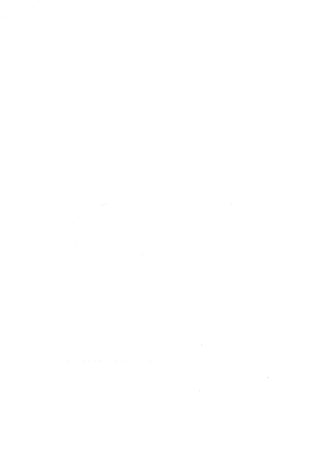$\mathcal{L}^{\text{max}}_{\text{max}}$  , where  $\mathcal{L}^{\text{max}}_{\text{max}}$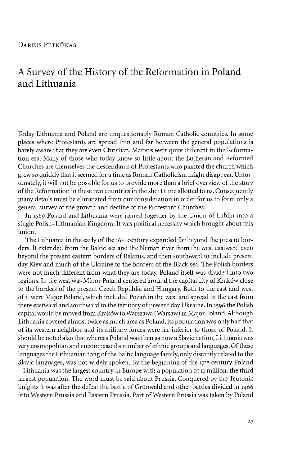## A Survey of the History of the Reformation in Poland and Lithuania

Today Lithuania and Poland are unquestionably Roman Catholic countries. In some places where Protestants are spread thin and far between the general populations is barely aware that they are even Christian. Matters were quite different in the Reformation era. Many of those who today know so little about the Lutheran and Reformed Churches are themselves the descendants of Protestants who planted the church which grew so quickly that it seemed for a time as Roman Catholicism might disappear. Unfortunately, it will not be possible for us to provide more than a brief overview of the story ofthe Reformation in these two countries in the short time allotted to us. Consequently many details must be eliminated from our consideration in order for us to form only a general survey of the growth and decline of the Protestant Churches.

In 1569 Poland and Lithuania were joined together by the Union of Lublin into a single Polish-Lithuanian Kingdom. It was political necessity which brought about this union.

The Lithuania in the early of the 16™ century expanded far beyond the present borders. It extended from the Baltic sea and the Neman river from the west eastward even beyond the present eastern borders of Belarus, and then southward to include present day Kiev and much of the Ukraine to the borders of the Black sea. The Polish borders were not much different from what they are today. Poland itself was divided into two regions. In the west was Minor Poland centered around the capital city of Kraków close to the borders of the present Czech Republic and Hungary. Both to the east and west of it were Major Poland, which included Pozań in the west and spread in the east from there eastward and southward to the territory of present day Ukraine. In 1596 the Polish capital would be moved from Kraków to Warszawa (Warsaw) in Major Poland. Although Lithuania covered almost twice as much area as Poland, its population was onlyhalfthat of its western neighbor and its military forces were far inferior to those of Poland. It should be noted also that whereas Poland was then as now a Slavic nation, Lithuania was very cosmopolitan and encompassed a number of ethnic groups and languages. Of these languages the Lithuanian tong of the Baltic language family, only distantly related to the Slavic languages, was not widely spoken. By the beginning of the 17™ century Poland -Lithuania was the largest country in Europe with <sup>a</sup> population of <sup>11</sup> million, the third largest population. The word must be said about Prussia. Conquered by the Teutonic knights it was after the defeat the battle of Grünwald and other battles divided in 1466 into Western Prussia and Eastern Prussia. Part of Western Prussia was taken by Poland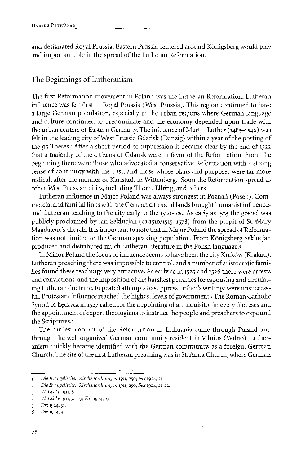and designated Royal Prussia. Eastern Prussia centered around Königsberg would play and important role in the spread of the Lutheran Reformation.

#### The Beginnings of Lutheranism

The first Reformation movement in Poland was the Lutheran Reformation. Lutheran influence was felt first in Royal Prussia (West Prussia). This region continued to have a large German population, especially in the urban regions where German language and culture continued to predominate and the economy depended upon trade with the urban centers of Eastern Germany. The influence of Martin Luther (1483-1546) was felt in the leading city of West Prussia Gdańsk (Danzig) within a year of the posting of the 95 Theses.<sup>4</sup> After a short period of suppression it became clear by the end of  $1522$  $1522$ that a majority of the citizens of Gdansk were in favor of the Reformation. From the beginning there were those who advocated a conservative Reformation with a strong sense of continuity with the past, and those whose plans and purposes were far more radical, after the manner of Karlstadt in Wittenberg.<sup>[2](#page-5-1)</sup> Soon the Reformation spread to other West Prussian cities, including Thorn, Elbing, and others.

Lutheran influence in Major Poland was always strongest in Poznan (Posen). Commercial and familial links with the German cities and lands brought humanist influences and Lutheran teaching to the city early in the i520-ies.3 As early as 1525 the gospel was publicly proclaimed by Jan Seklucjan (ca.1510/1515-1578) from the pulpit of St. Mary Magdalene's church. It is important to note that in Major Poland the spread of Reformation was not limited to the German speaking population. From Königsberg Seklucjan produced and distributed much Lutheran literature in the Polish language.<sup>4</sup>

In Minor Poland the focus of influence seems to have been the city Kraków (Krakau). Lutheran preaching there was impossible to control, and a number of aristocratic families found these teachings very attractive. As early as in 1525 and 1526 there were arrests and convictions, and the imposition of the harshest penalties for espousing and circulating Lutheran doctrine. Repeated attemptsto suppress Luther's writings were unsuccessful. Protestant influence reached the highest levels of government.<sup>5</sup> The Roman Catholic Synod of Leczyca in 1527 called for the appointing of an inquisitor in every dioceses and the appointment of expert theologians to instruct the people and preachers to expound the Scriptures.[6](#page-5-2)

The earliest contact of the Reformation in Lithuania came through Poland and through the well organized German community resident in Vilnius (Wilno). Lutheranism quickly became identified with the German community, as a foreign, German Church. The site of the first Lutheran preaching was in St. Anna Church, where German

<span id="page-5-0"></span><sup>1</sup> *Die Evangelischen Kirchenordmmgen 1911,*250; *Fox* 1924,21.

<span id="page-5-1"></span><sup>2</sup> *Die Evangelischen Kirchenordmmgen 1911,*250; *Fox* 1924,21-22.

<sup>3</sup> *Wotschke* 1911, 61.

<sup>4</sup> *Wotschke* 1911,74-77; *Fox* 1924,27.

<sup>5</sup> *Fox* 1924,31.

<span id="page-5-2"></span><sup>6</sup> *Fox* 1924,31.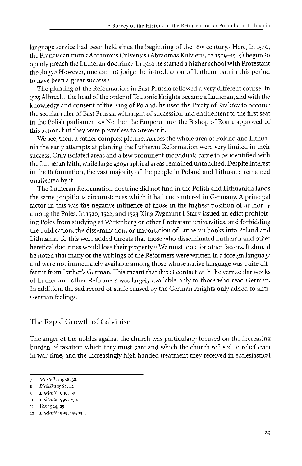language service had been held since the beginning of the  $16<sup>TH</sup>$  century.<sup>7</sup> Here, in 1540, the Franciscan monkAbraomus Culvensis (Abraomas Kulvietis, ca.1509-1545) begun to openly preach the Lutheran doctrine.<sup>8</sup> In 1540 he started a higher school with Protestant theology.<sup>9</sup> However, one cannot judge the introduction of Lutheranism in this period to have been a great success.[10](#page-6-1)

The planting of the Reformation in East Prussia followed a very different course. In 1525 Albrecht, the head of the order of Teutonic Knights became a Lutheran, and with the knowledge and consent of the King of Poland, he used the Treaty of Kraków to become the secular ruler of East Prussia with right of succession and entitlement to the first seat in the Polish parliaments.<sup>[11](#page-6-2)</sup> Neither the Emperor nor the Bishop of Rome approved of this action, but they were powerless to prevent it.

We see, then, a rather complex picture. Across the whole area of Poland and Lithuania the early attempts at planting the Lutheran Reformation were very limited in their success. Only isolated areas and a few prominent individuals came to be identified with the Lutheran faith, while large geographical areas remained untouched. Despite interest in the Reformation, the vast majority of the people in Poland and Lithuania remained unaffected by it.

The Lutheran Reformation doctrine did not find in the Polish and Lithuanian lands the same propitious circumstances which it had encountered in Germany. A principal factor in this was the negative influence of those in the highest position of authority among the Poles. In 1520, 1522, and 1523 King Zygmunt I Stary issued an edict prohibiting Poles from studying at Wittenberg or other Protestant universities, and forbidding the publication, the dissemination, or importation of Lutheran books into Poland and Lithuania. To this were added threats that those who disseminated Lutheran and otherheretical doctrines would lose their property.[12](#page-6-3) We must look for other factors. It should be noted that many of the writings of the Reformers were written in a foreign language and were not immediately available among those whose native language was quite different from Luther's German. This meant that direct contact with the vernacular works of Luther and other Reformers was largely available only to those who read German. In addition, the sad record of strife caused by the German knights only added to anti-German feelings.

#### The Rapid Growth of Calvinism

The anger of the nobles against the church was particularly focused on the increasing burden of taxation which they must bare and which the church refused to relief even in war time, and the increasingly high handed treatment they received in ecclesiastical

<sup>7</sup> *Musteikis* 1988,38.

<span id="page-6-0"></span><sup>8</sup> *Birziska* i960,46.

<sup>9</sup> *Luksaite* 1999,135.

<span id="page-6-1"></span><sup>10</sup> *Luksaite* 1999,250.

<span id="page-6-2"></span><sup>11</sup> Fox 1924,25.

<span id="page-6-3"></span><sup>12</sup> *Luksaite* 1999,133,134.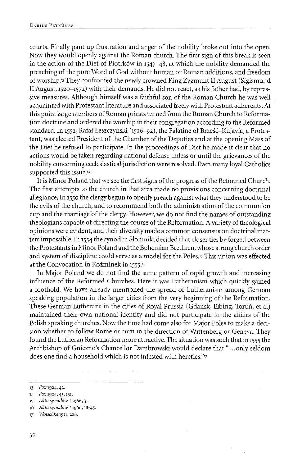courts. Finally pant up frustration and anger of the nobility broke out into the open. Now they would openly against the Roman church. The first sign of this break is seen in the action of the Diet of Piotrköw in 1547-48, at which the nobility demanded the preaching of the pure Word of God without human or Roman additions, and freedom of worship.<sup>13</sup> They confronted the newly crowned King Zygmunt II August (Sigismund II August, 1520-1572) with their demands. He did not react, as his father had, by repressive measures. Although himself was a faithful son of the Roman Church he was well acquainted with Protestant literature and associated freelywith Protestant adherents. At this point large numbers of Roman priests turned from the Roman Church to Reformation doctrine and ordered the worship in their congregation according to the Reformed standard. In 1552, Rafał Leszczyński (1526–92), the Palatine of Brześć–Kujavia, a Protestant, was elected President of the Chamber of the Deputies and at the opening Mass of the Diet he refused to participate. In the proceedings of Diet he made it clear that no actions would be taken regarding national defense unless or until the grievances of the nobility concerning ecclesiastical jurisdiction were resolved. Even many loyal Catholics supported this issue.<sup>14</sup>

It is Minor Poland that we see the first signs of the progress of the Reformed Church. The first attempts to the church in that area made no provisions concerning doctrinal allegiance. In 1550 the clergybegun to openly preach against what they understood to be the evils of the church, and to recommend both the administration of the communion cup and the marriage of the clergy. However, we do not find the names of outstanding theologians capable of directing the course of the Reformation. A variety of theological opinions were evident, and their diversitymade a common consensus on doctrinal matters impossible. In 1554 the synod in Stomniki decided that closer ties be forged between the Protestants in Minor Poland and the Bohemian Brethren, whose strong church order and system of discipline could serve as a model for the Poles.<sup>15</sup> This union was effected at the Convocation in Koźminek in [1](#page-7-0)555.16

In Major Poland we do not find the same pattern of rapid growth and increasing influence of the Reformed Churches. Here it was Lutheranism which quickly gained a foothold. We have already mentioned the spread of Lutheranism among German speaking population in the larger cities from the very beginning of the Reformation. These German Lutherans in the cities of Royal Prussia (Gdansk, Elbing, Torun, et al) maintained their own national identity and did not participate in the affairs of the Polish speaking churches. Now the time had come also for Major Poles to make a decision whether to follow Rome or turn in the direction of Wittenberg or Geneva. They found the Lutheran Reformation more attractive. The situation was such that in <sup>1555</sup> the Archbishop of Gniezno's Chancellor Dambrowski would declare that "...only seldom does one find a household which is not infested with heretics." $\nu$ 

<sup>13</sup> *Fox* 1924,42.

<sup>14</sup> *Fox* 1924,45,131.

<sup>15</sup> *Akta synodow 1*1966,3.

<span id="page-7-0"></span><sup>16</sup> *Akta synodow 1*1966,18-45.

<sup>17</sup> *Wotschke* 1911, 228.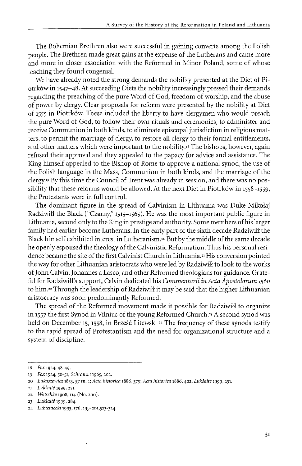The Bohemian Brethren also were successful in gaining converts among the Polish people. The Brethren made great gains at the expense of the Lutherans and came more and more in closer association with the Reformed in Minor Poland, some of whose teaching they found congenial.

We have already noted the strong demands the nobility presented at the Diet of Piotrkow in 1547-48. At succeeding Diets the nobility increasingly pressed their demands regarding the preaching of the pure Word of God, freedom of worship, and the abuse of power by clergy. Clear proposals for reform were presented by the nobility at Diet of <sup>1555</sup> in Piotrköw. These included the liberty to have clergymen who would preach the pure Word of God, to follow their own rituals and ceremonies, to administer and receive Communion in both kinds, to eliminate episcopal jurisdiction in religious matters, to permit the marriage of clergy, to restore all clergy to their formal entitlements, and other matters which were important to the nobility.<sup>[18](#page-8-0)</sup> The bishops, however, again refused their approval and they appealed to the papacy for advice and assistance. The King himself appealed to the Bishop of Rome to approve a national synod, the use of the Polish language in the Mass, Communion in both kinds, and the marriage of the clergy.<sup>19</sup> By this time the Council of Trent was already in session, and there was no possibility that these reforms would be allowed. At the next Diet in Piotrköw in 1558-1559, the Protestants were in full control.

The dominant figure in the spread of Calvinism in Lithuania was Duke Mikołaj Radziwill the Black ("Czarny," 1515-1565). He was the most important public figure in Lithuania,second only to the King in prestige and authority. Some members ofhislarger family had earlier become Lutherans. In the early part of the sixth decade Radziwiłł the Black himself exhibited interest in Lutheranism.<sup>10</sup> But by the middle of the same decade he openly espoused the theology of the Calvinistic Reformation. Thus his personal resi-dence became the site of the first Calvinist Church in Lithuania.<sup>[21](#page-8-1)</sup> His conversion pointed the way for other Lithuanian aristocrats who were led by Radziwill to look to the works of John Calvin, Johannes a Lasco, and other Reformed theologians for guidance. Grateful for Radziwill's support, Calvin dedicated his *Commentarii in ActaApostolorum 1560* to him.<sup>[22](#page-8-2)</sup> Through the leadership of Radziwill it may be said that the higher Lithuanian aristocracy was soon predominantly Reformed.

The spread of the Reformed movement made it possible for Radziwill to organize in 1557 the first Synod in Vilnius of the young Reformed Church.<sup>23</sup> A second synod was held on December 15, 1558, in Brześć Litewsk.<sup>24</sup> The frequency of these synods testify to the rapid spread of Protestantism and the need for organizational structure and a system of discipline.

<span id="page-8-0"></span><sup>18</sup> *Fox* 1924, 48-49.

<sup>19</sup> *Fox* 1924,50-51; *Schramm* 1965,202.

<sup>20</sup> *Lukaszewicz* 1853,57 fh. 1; *Acta historica* 1886,379; *Acta historica* 1886,402; *Luksaite* 1999,251.

<span id="page-8-1"></span><sup>21</sup> *Luksaite* 1999,251.

<span id="page-8-2"></span><sup>22</sup> *Wotschke* 1908,114 (No. 200).

<sup>23</sup> *Luksaite* 1999,284.

<sup>24</sup> *Lubieniecki* 1995,176,199-201,323-324.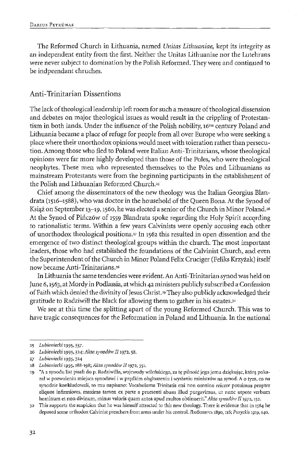The Reformed Church in Lithuania, named *Unitas Lithuaniae,* kept its integrity as an independent entity from the first. Neither the Unitas Lithuaniae nor the Lutehrans were never subject to domination by the Polish Reformed. They were and continued to be indpeendant chruches.

#### Anti-Trinitarian Dissentions

The lack of theological leadership left room for such a measure of theological dissension and debates on major theological issues as would result in the crippling of Protestantism in both lands. Under the influence of the Polish nobility, 16™ century Poland and Lithuania became a place of refuge for people from all over Europe who were seeking a place where their unorthodox opinions would meet with toleration rather than persecution. Among those who fled to Poland were Italian Anti-Trinitarians, whose theological opinions were far more highly developed than those of the Poles, who were theological neophytes. These men who represented themselves to the Poles and Lithuanians as mainstream Protestants were from the beginning participants in the establishment of the Polish and Lithuanian Reformed Church.<sup>2</sup>?

Chief among the disseminators of the new theology was the Italian Georgius Blandrata (1516-1588), who was doctor in the household of the Queen Bona. At the Synod of Książ on September 13-19,1560, he was elected a senior of the Church in Minor Poland.<sup>[2](#page-9-0)6</sup> At the Synod of Pińczów of 1559 Blandrata spoke regarding the Holy Spirit according to rationalistic terms. Within a few years Calvinists were openly accusing each other of unorthodox theological positions.[2](#page-9-1)? In 1562 this resulted in open dissention and the emergence of two distinct theological groups within the church. The most important leaders, those who had established the foundations of the Calvinist Church, and even the Superintendent of the Church in Minor Poland Felix Cruciger (Feliks Krzyżak) itself now became Anti-Trinitarians.<sup>[28](#page-9-2)</sup>

In Lithuania the same tendencies were evident.AnAnti-Trinitarian synod was held on June 6, 1563, at Mordy in Podlassia, at which 42 ministers publicly subscribed a Confession of Faith which denied the divinity of Jesus Christ.<sup>39</sup> They also publicly acknowledged their gratitude to Radziwiłł the Black for allowing them to gather in his estates.<sup>30</sup>

We see at this time the splitting apart of the young Reformed Church. This was to have tragic consequences for the Reformation in Poland and Lithuania. In the national

<sup>25</sup> *Lubieniecki* 1995,337.

<span id="page-9-0"></span><sup>26</sup> *Lubieniecki* 1995,324; *Akta synodöwII*1972,58.

<span id="page-9-1"></span><sup>27</sup> *Lubieniecki* 1995,324

<span id="page-9-2"></span><sup>28</sup> *Lubieniecki* 1995,188-198; *Akta synodow II*1972,351.

<sup>29 &</sup>quot;A z synodu list pisali do p. Radziwiłła, wojewody wileńskiego, za tę pilność jego jemu dziękując, którą pokazal w pozwoleniu miejsea synodowi i w predkim obgloszeniu i wyslaniu ministröw na synod. A 0 tym, co na synodzie konkludowali, to mu napisano: Vocabuluma Trinitatis etsi non omnino reicere potuimus propter aliquos infirmiores, maxima tarnen ex parte a praesenti abusu illud purgavimus, ut nunc utpote verbum hominum et non divinum, minus valoris quam antea apud multos obtinuerit." *Akta synodow II*1972,152.

<sup>30</sup> This supports the suspicion that he was himself attracted to this new theology. There is evidence that in 1564 he deposed some orthodox Calvinist preachers from areas under his control. Любовичь 1890, 116; Puryckis 1919, 140.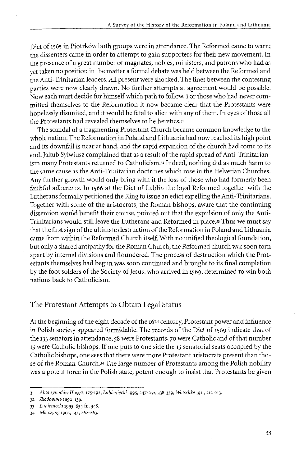Diet of 1565 in Piotrköw both groups were in attendance. The Reformed came to warn; the dissenters came in order to attempt to gain supporters for their new movement. In the presence of a great number of magnates, nobles, ministers, and patrons who had as yet taken no position in the matter a formal debate was held between the Reformed and the Anti-Trinitarian leaders. All present were shocked. The Ihres between the contesting parties were now clearly drawn. No further attempts at agreement would be possible. Now each must decide for himselfwhich path to follow. For those who had never committed themselves to the Reformation it now became clear that the Protestants were hopelessly disunited, and it would be fatal to alien with any of them. In eyes of those all the Protestants had revealed themselves to be heretics.<sup>31</sup>

The scandal of a fragmenting Protestant Church became common knowledge to the whole nation. The Reformation in Poland and Lithuania had now reached its high point and its downfall is near at hand, and the rapid expansion of the church had come to its end. Jakub Sylwiusz complained that as a result of the rapid spread of Anti-Trinitarianism many Protestants returned to Catholicism.<sup>32</sup> Indeed, nothing did as much harm to the same cause as the Anti-Trinitarian doctrines which rose in the Helvetian Churches. Any further growth would only bring with it the loss of those who had formerly been faithful adherents. In 1566 at the Diet of Lublin the loyal Reformed together with the Lutherans formally petitioned the King to issue an edict expelling the Anti-Trinitarians. Together with some of the aristocrats, the Roman bishops, aware that the continuing dissention would benefit their course, pointed out that the expulsion of only the Anti-Trinitarians would still leave the Lutherans and Reformed in place.<sup>33</sup> Thus we must say that the first sign of the ultimate destruction of the Reformation in Poland and Lithuania came from within the Reformed Church itself. With no unified theological foundation, but only a shared antipathy for the Roman Church, the Reformed church was soon torn apart by internal divisions and floundered. The process of destruction which the Protestants themselves had begun was soon continued and brought to its final completion by the foot solders of the Society of Jesus, who arrived in 1569, determined to win both nations back to Catholicism.

### The Protestant Attempts to Obtain Legal Status

At the beginning of the eight decade of the  $16^{\text{th}}$  century, Protestant power and influence in Polish society appeared formidable. The records of the Diet of 1569 indicate that of the 133 senators in attendance, 58 were Protestants, 70 were Catholic and of that number <sup>15</sup> were Catholic bishops. If one puts to one side the <sup>15</sup> senatorial seats occupied by the Catholic bishops, one sees that there were more Protestant aristocrats present than those of the Roman Church.<sup>34</sup> The large number of Protestants among the Polish nobility was a potent force in the Polish state, potent enough to insist that Protestants be given

<sup>31</sup> *Akta synodow II*1972,175-192; *Lubieniecki* 1995,247-252,338-339; *Wotschke* 1911,212-213.

<sup>32</sup> *IIioßoBuub* 1890,139.

<sup>33</sup> *Lubieniecki* 1995,634 fh. 348.

<sup>34</sup> *Merczyng* 1905,143,262-263.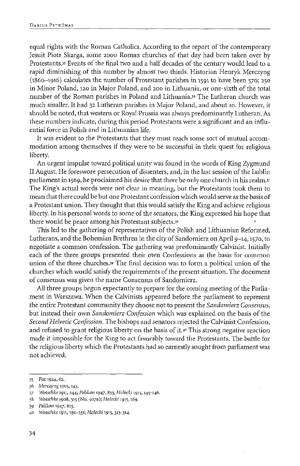equal rights with the Roman Catholics. According to the report of the contemporary Jesuit Piotr Skarga, some 2000 Roman churches of that day had been taken over by Protestants.<sup>35</sup> Events of the final two and a half decades of the century would lead to a rapid diminishing of this number by almost two thirds. Historian Henryk Merczyng (1860-1916) calculates the number of Protestant parishes in 1591 to have been 570; 250 in Minor Poland, 120 in Major Poland, and 200 in Lithuania, or one-sixth of the total number of the Roman parishes in Poland and Lithuania.<sup>36</sup> The Lutheran church was much smaller. It had 32 Lutheran parishes in Major Poland, and about 10. However, it should be noted, that western or Royal Prussia was always predominantly Lutheran. As these numbers indicate, during this period Protestants were a significant and an influential force in Polish and in Lithuanian life.

It was evident to the Protestants that they must reach some sort of mutual accommodation among themselves if they were to be successful in their quest for religious liberty.

An urgent impulse toward political unity was found in the words of King Zygmund II August. He foreswore persecution of dissenters, and, in the last session of the Lublin parliament in 1569, he proclaimed his desire that there be only one church in his realm.<sup>37</sup> The King's actual words were not clear in meaning, but the Protestants took them to mean that there could be but one Protestant confession which would serve as the basis of a Protestant union. They thought that this would satisfy the King and achieve religious liberty. In his personal words to some of the senators, the King expressed his hope that there would be peace among his Protestant subjects.<sup>38</sup>

This led to the gathering of representatives of the Polish and Lithuanian Reformed, Lutherans, and the Bohemian Brethren in the city of Sandomierz on April 9-14,1570, to negotiate a common confession. The gathering was predominantly Calvinist. Initially each of the three groups presented their own Confessions as the basis for common union of the three churches.39 The final decision was to form a political union of the churches which would satisfy the requirements of the present situation. The document of consensus was given the name Consensus of Sandomierz.

All three groups begun expectantly to prepare for the coming meeting of the Parliament in Warszawa. When the Calvinists appeared before the parliament to represent the entire Protestant community they choose not to present the *Sandomierz Consensus,* but instead their own *Sandomierz Confession* which was explained on the basis of the *Second Helvetic Confession.* The bishops and senators rejected the Calvinist Confession, and refused to grant religious liberty on the basis of it.<sup>40</sup> This strong negative reaction made it impossible for the King to act favorably toward the Protestants. The battle for the religious libertywhich the Protestants had so earnestly sought from parliament was not achieved.

<sup>35</sup> *Fox* 1924, 62.

<sup>36</sup> *Merczyng* 1905,143.

<sup>37</sup> *Wotschke* 1911,244; *Pelikan* 1947,833; *Halecki* 1915,145-146.

<sup>38</sup> *Wotschke* 1908,315 (No. 407a); *Halecki* 1915,169.

<sup>39</sup> *Pelikan* 1947, 825.

<sup>40</sup> *Wotschke* 1911, 250-251; *Halecki* 1915,313-314.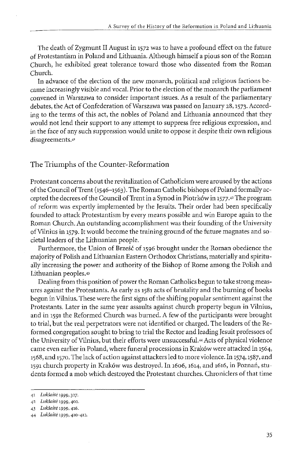The death of Zygmunt II August in 1572 was to have a profound effect on the future of Protestantism in Poland and Lithuania. Although himself a pious son ofthe Roman Church, he exhibited great tolerance toward those who dissented from the Roman Church.

In advance of the election of the new monarch, political and religious factions became increasingly visible and vocal. Prior to the election of the monarch the parliament convened in Warszawa to consider important issues. As a result of the parliamentary debates, the Act of Confederation of Warszawa was passed on January 28, 1573. According to the terms of this act, the nobles of Poland and Lithuania announced that they would not lend their support to any attempt to suppress free religious expression, and in the face of any such suppression would unite to oppose it despite their own religious disagreements.<sup>41</sup>

The Triumphs of the Counter-Reformation

Protestant concerns about the revitalization of Catholicism were aroused by the actions of the Council of Trent (1546-1563). The Roman Catholic bishops of Poland formally accepted the decrees of the Council of Trent in a Synod in Piotrków in 1577.<sup>42</sup> The program of reform was expertly implemented by the Jesuits. Their order had been specifically founded to attack Protestantism by every means possible and win Europe again to the Roman Church. An outstanding accomplishment was their founding of the University of Vilnius in 1579. It would become the training ground of the future magnates and societal leaders of the Lithuanian people.

Furthermore, the Union of Brześć of 1596 brought under the Roman obedience the majority of Polish and Lithuanian Eastern Orthodox Christians, materially and spiritually increasing the power and authority of the Bishop of Rome among the Polish and Lithuanian peoples.«

Dealing from this position of power the Roman Catholics begun to take strong measures against the Protestants. As early as 1581 acts of brutality and the burning of books begun in Vilnius. These were the first signs of the shifting popular sentiment against the Protestants. Later in the same year assaults against church property begun in Vilnius, and in 1591 the Reformed Church was burned. A few of the participants were brought to trial, but the real perpetrators were not identified or charged. The leaders of the Reformed congregation sought to bring to trial the Rector and leading Jesuit professors of the University of Vilnius, but their efforts were unsuccessful.<sup>44</sup> Acts of physical violence came even earlier in Poland, where funeral processions in Kraków were attacked in 1564, 1568, and 1570. The lack of action against attackers led to more violence. In 1574, 1587, and 1591 church property in Kraków was destroyed. In 1606, 1614, and 1616, in Poznań, students formed a mob which destroyed the Protestant churches. Chroniclers of that time

<sup>41</sup> *Luksaite* 1999,327.

<sup>42</sup> *Luksaite* 1999,402.

<sup>43</sup> *Luksaite* 1999,416.

<sup>44</sup> *Luksaite* 1999,410-412.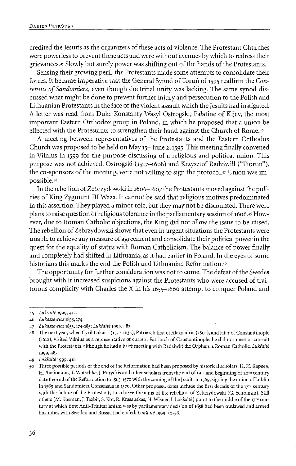credited the Jesuits as the organizers of these acts of violence. The Protestant Churches were powerless to prevent these acts and were without avenues bywhich to redress their grievances.<sup>45</sup> Slowly but surely power was shifting out of the hands of the Protestants.

Sensing their growing peril, the Protestants made some attempts to consolidate their forces. It became imperative that the General Synod of Toruri of 1595 reaffirm the *Consensus of Sandomierz,* even though doctrinal unity was lacking. The same synod discussed what might be done to prevent further injury and persecution to the Polish and Lithuanian Protestants in the face of the violent assault which the Jesuits had instigated. A letter was read from Duke Konstanty Wasyl Ostrogski, Palatine of Kijev, the most important Eastern Orthodox group in Poland, in which he proposed that a union be effected with the Protestants to strengthen their hand against the Church of Rome.<sup>46</sup>

A meeting between representatives of the Protestants and the Eastern Orthodox Church was proposed to be held on May 15-June 2,1595. This meeting finally convened in Vilnius in 1599 for the purpose discussing of a religious and political union. This purpose was not achieved. Ostrogski (1527-1608) and Krzysztof Radziwill ("Piorun"), the co-sponsors of the meeting, were not willing to sign the protocol.<sup>47</sup> Union was impossible.<sup>48</sup>

In the rebellion of Zebrzydowski in 1606-1607 the Protestants moved against the policies of King Zygmunt III Waza. It cannot be said that religious motives predominated in this assertion. They played a minor role, but they may not be discounted. There were plans to raise question of religious tolerance in the parliamentary session of 1606.<sup>49</sup> However, due to Roman Catholic objections, the King did not allow the issue to be raised. The rebellion of Zebrzydowski shows that even in urgent situations the Protestants were unable to achieve any measure of agreement and consolidate their political power in the quest for the equality of status with Roman Catholicism. The balance of power finally and completely had shifted in Lithuania, as it had earlier in Poland. In the eyes ofsome historians this marks the end the Polish and Lithuanian Reformation.<sup>50</sup>

The opportunity for further consideration was not to come. The defeat of the Swedes brought with it increased suspicions against the Protestants who were accused of traitorous complicity with Charles the X in his 1655-1660 attempt to conquer Poland and

<sup>45</sup> *Luksaite* 1999,412.

<sup>46</sup> *Lukaszewicz* 1835,174

<sup>47</sup> *Lukaszewicz* 1835,174-185; *Luksaite* 1999,487.

<sup>48</sup> The next year, when Cyril Lukaris (1572-1638), Patriarch first of Alexandria (1602), and later of Constantinople (1612), visited Vilnius as a representative of current Patriarch of Constantinople, he did not meet or consult with the Protestants, although he had a briefmeeting with Radziwill the Orphan, a Roman Catholic. *Luksaite* 1999,487-

<sup>49</sup> *Luksaite* 1999,418.

<sup>50</sup> Three possible periods of the end of the Reformation had been proposed by historical scholars. H. *M.* KapeeB, H. JIioöoBMHb, T. Wotschke, J. Puryckis and other scholars from the end of 19™ and beginning of 20™ century date the end of the Reformation to 1565-1570 with the coming of the Jesuits in 1569, signing the union of Lublin in 1569 and Sandomierz Consensus in 1570. Other proposed dates include the first decade of the 17th century with the failure of the Protestants to achieve the aims of the rebellion of Zebrzydowski (G. Schramm). Still others (M. Kosman, J. Tazbir, S. Kot, R. Krasauskas, H. Wisner, I. Luksaite) point to the middle ofthe 17™ century at which time Anti-Trinitarianism was by parliamentary decision of 1658 had been outlawed and armed hostilities with Sweden and Russia had ended. *Lukšaitė* 1999, 50-56.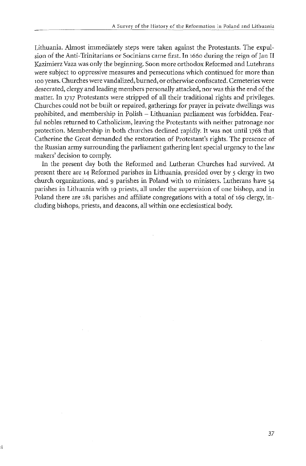Lithuania. Almost immediately steps were taken against the Protestants. The expulsion of the Anti-Trinitarians or Socinians came first. In 1660 during the reign of Jan II Kazimierz Vaza was only the beginning. Soon more orthodox Reformed and Lutehrans were subject to oppressive measures and persecutions which continued for more than 100 years. Churcheswere vandalized, burned, or otherwise confiscated. Cemeteries were desecrated, clergy and leading members personally attacked, nor was this the end of the matter. In 1717 Protestants were stripped of all their traditional rights and privileges. Churches could not be built or repaired, gatherings for prayer in private dwellings was prohibited, and membership in Polish - Lithuanian parliament was forbidden. Fearful nobles returned to Catholicism, leaving the Protestants with neither patronage nor protection. Membership in both churches declined rapidly. It was not until 1768 that Catherine the Great demanded the restoration of Protestant's rights. The presence of the Russian army surrounding the parliament gathering lent special urgency to the law makers' decision to comply.

In the present day both the Reformed and Lutheran Churches had survived. At present there are 14 Reformed parishes in Lithuania, presided over by 5 clergy in two church organizations, and 9 parishes in Poland with 10 ministers. Lutherans have 54 parishes in Lithuania with 19 priests, all under the supervision of one bishop, and in Poland there are 281 parishes and affiliate congregations with a total of 169 clergy, including bishops, priests, and deacons, all within one ecclesiastical body.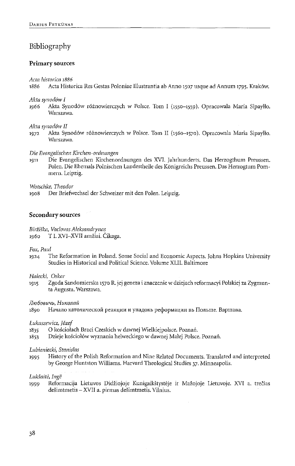## Bibliography

#### **Primary sources**

*Acta historica 1886*

1886 Acta Historica Res Gestas Poloniae Illustrantia ab Anno 1507 usque ad Annum 1795. Kraków.

*Akta synodow I*

1966 Akta Synodow röznowierczych w Polsce. Tom I (1550-1559). Opracowala Maria Sipayllo. Warszawa.

*Akta synodow II*

1972 Akta Synodow röznowierczych w Polsce. Tom II (1560-1570). Opracowala Maria Sipayllo. Warszawa.

*Die Evangelischen Kirchen-ordnungen*

1911 Die Evangelischen Kirchenordnungen des XVI. Jahrhunderts. Das Herzogthum Preussen. Polen. Die Ehemals Polnischen Landestheile des Königreichs Preussen. Das Herzogtum Pommern. Leipzig.

*Wotschke, Theodor*

1908 Der Briefwechsel der Schweizer mit den Polen. Leipzig.

#### **Secondary sources**

*Birziska, VaclovasAleksandrynas*

i960 TI. XVI-XVII amziai. Cikaga.

#### *Fox, Paul*

1924 The Reformation in Poland. Some Social and Economic Aspects. Johns Hopkins University Studies in Historical and Political Science. Volume XLII. Baltimore

#### *Halecki, Oskar*

1915 Zgoda Sandomierska 1570 R. jej geneza i znaczenie w dziejach reformacyi Polskiej za Zygmunta Augusta. Warszawa.

*JItoöoeuHb, Hukomü*

1890 Начало католической реакции и упадокь реформации вь Польше. Варшава.

#### *Lukaszewicz, Jozef*

- 1835 O kosciolach Braci Czeskich w dawnej Wielkiejpolsce. Poznan.
- 1853 Dzieje kościołów wyznania helweckiego w dawnej Małej Polsce. Poznań.

*Lubieniecki, Stanislas*

1995 History ofthe Polish Reformation and Nine Related Documents. Translated and interpreted by George Huntston Williams. Harvard Theological Studies 37. Minneapolis.

#### *Luksaite, Inge*

1999 Reformacija Lietuvos Didziojoje Kunigaikstysteje ir Mazojoje Lietuvoje. XVI a. trecias desimtmetis -XVII a. pirmas desimtmetis. Vilnius.